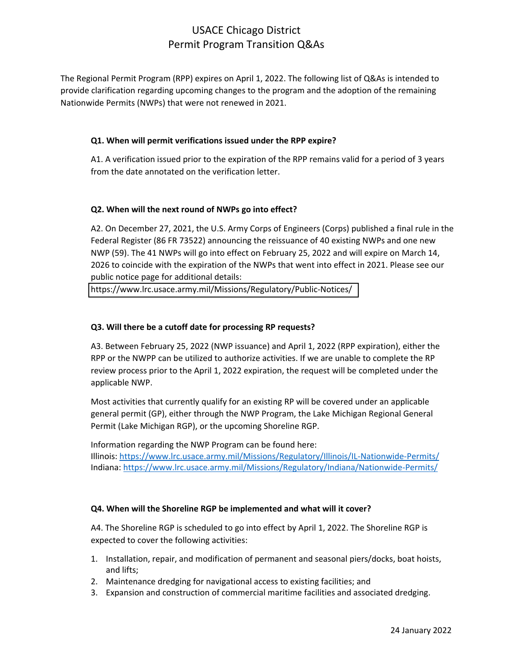## USACE Chicago District Permit Program Transition Q&As

The Regional Permit Program (RPP) expires on April 1, 2022. The following list of Q&As is intended to provide clarification regarding upcoming changes to the program and the adoption of the remaining Nationwide Permits (NWPs) that were not renewed in 2021.

### **Q1. When will permit verifications issued under the RPP expire?**

A1. A verification issued prior to the expiration of the RPP remains valid for a period of 3 years from the date annotated on the verification letter.

### **Q2. When will the next round of NWPs go into effect?**

A2. On December 27, 2021, the U.S. Army Corps of Engineers (Corps) published a final rule in the Federal Register (86 FR 73522) announcing the reissuance of 40 existing NWPs and one new NWP (59). The 41 NWPs will go into effect on February 25, 2022 and will expire on March 14, 2026 to coincide with the expiration of the NWPs that went into effect in 2021. Please see our public notice page for additional details:

<https://www.lrc.usace.army.mil/Missions/Regulatory/Public-Notices/>

#### **Q3. Will there be a cutoff date for processing RP requests?**

A3. Between February 25, 2022 (NWP issuance) and April 1, 2022 (RPP expiration), either the RPP or the NWPP can be utilized to authorize activities. If we are unable to complete the RP review process prior to the April 1, 2022 expiration, the request will be completed under the applicable NWP.

Most activities that currently qualify for an existing RP will be covered under an applicable general permit (GP), either through the NWP Program, the Lake Michigan Regional General Permit (Lake Michigan RGP), or the upcoming Shoreline RGP.

Information regarding the NWP Program can be found here: Illinois:<https://www.lrc.usace.army.mil/Missions/Regulatory/Illinois/IL-Nationwide-Permits/> Indiana[: https://www.lrc.usace.army.mil/Missions/Regulatory/Indiana/Nationwide-Permits/](https://www.lrc.usace.army.mil/Missions/Regulatory/Indiana/Nationwide-Permits/)

### **Q4. When will the Shoreline RGP be implemented and what will it cover?**

A4. The Shoreline RGP is scheduled to go into effect by April 1, 2022. The Shoreline RGP is expected to cover the following activities:

- 1. Installation, repair, and modification of permanent and seasonal piers/docks, boat hoists, and lifts;
- 2. Maintenance dredging for navigational access to existing facilities; and
- 3. Expansion and construction of commercial maritime facilities and associated dredging.